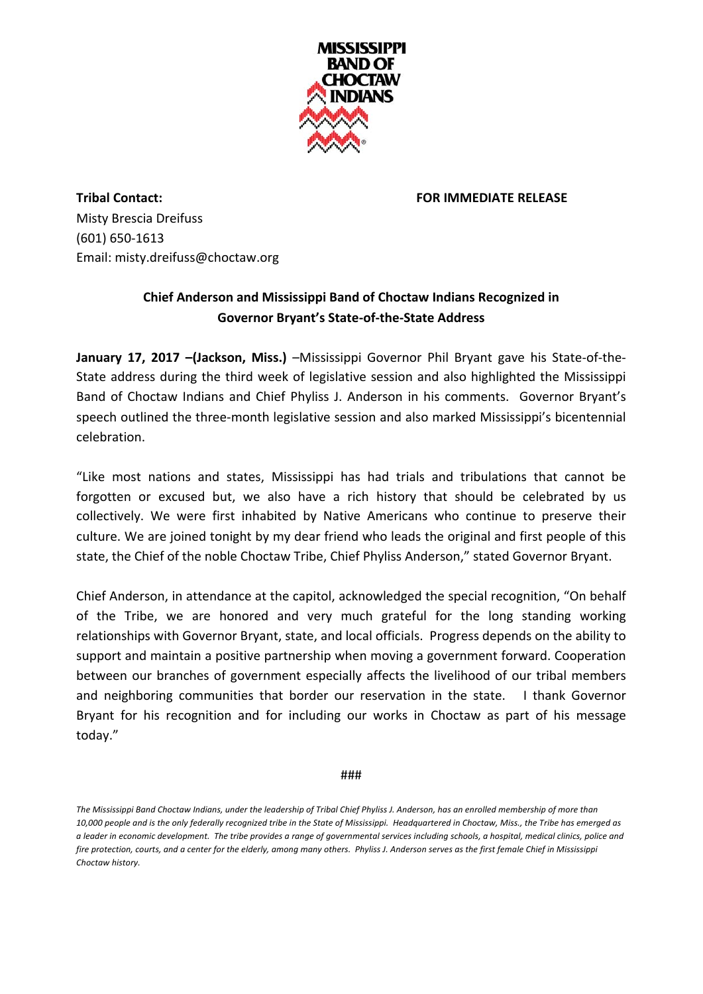

## **FOR IMMEDIATE RELEASE**

**Misty Brescia Dreifuss** (601) 650-1613 Email: misty.dreifuss@choctaw.org

## **Chief Anderson and Mississippi Band of Choctaw Indians Recognized in Governor Bryant's State-of-the-State Address**

January 17, 2017 -(Jackson, Miss.) -Mississippi Governor Phil Bryant gave his State-of-the-State address during the third week of legislative session and also highlighted the Mississippi Band of Choctaw Indians and Chief Phyliss J. Anderson in his comments. Governor Bryant's speech outlined the three-month legislative session and also marked Mississippi's bicentennial celebration. 

"Like most nations and states, Mississippi has had trials and tribulations that cannot be forgotten or excused but, we also have a rich history that should be celebrated by us collectively. We were first inhabited by Native Americans who continue to preserve their culture. We are joined tonight by my dear friend who leads the original and first people of this state, the Chief of the noble Choctaw Tribe, Chief Phyliss Anderson," stated Governor Bryant.

Chief Anderson, in attendance at the capitol, acknowledged the special recognition, "On behalf of the Tribe, we are honored and very much grateful for the long standing working relationships with Governor Bryant, state, and local officials. Progress depends on the ability to support and maintain a positive partnership when moving a government forward. Cooperation between our branches of government especially affects the livelihood of our tribal members and neighboring communities that border our reservation in the state. I thank Governor Bryant for his recognition and for including our works in Choctaw as part of his message today." 

###

The Mississippi Band Choctaw Indians, under the leadership of Tribal Chief Phyliss J. Anderson, has an enrolled membership of more than 10,000 people and is the only federally recognized tribe in the State of Mississippi. Headquartered in Choctaw, Miss., the Tribe has emerged as a leader in economic development. The tribe provides a range of governmental services including schools, a hospital, medical clinics, police and fire protection, courts, and a center for the elderly, among many others. Phyliss J. Anderson serves as the first female Chief in Mississippi *Choctaw history.*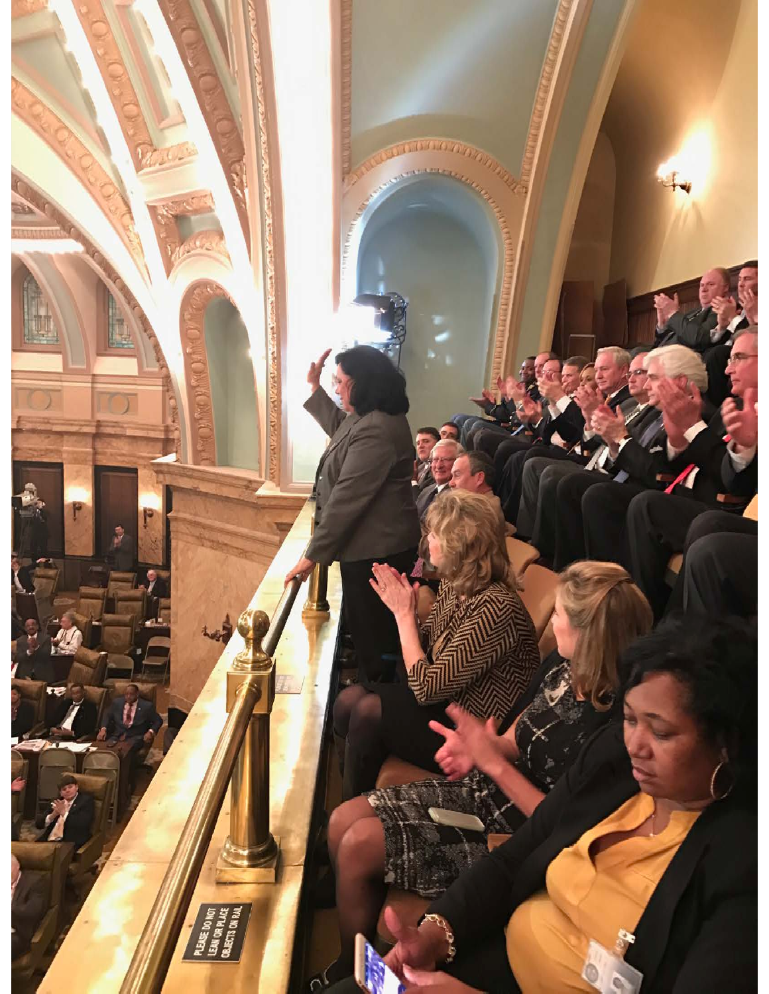